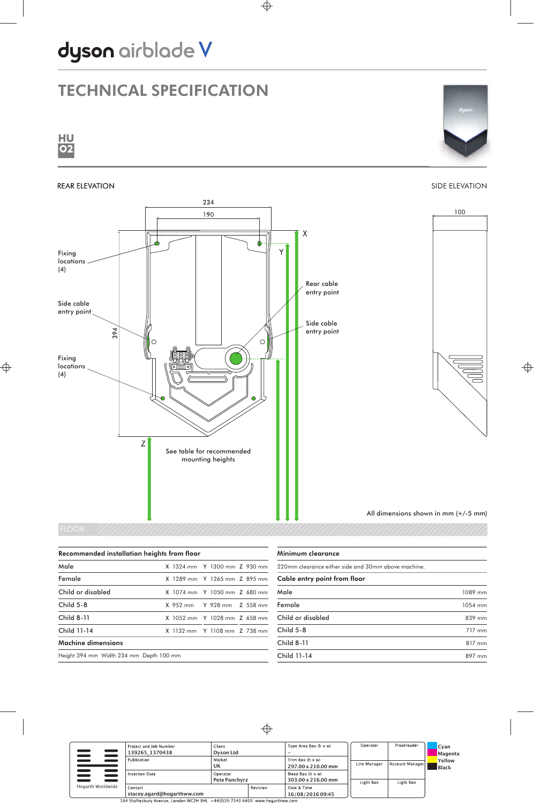# dyson airblade V

## TECHNICAL SPECIFICATION





#### REAR ELEVATION

### SIDE ELEVATION



| Recommended installation heights from floor |  |                              |  |  |
|---------------------------------------------|--|------------------------------|--|--|
| Male                                        |  | X 1324 mm Y 1300 mm Z 930 mm |  |  |
| Female                                      |  | X 1289 mm Y 1265 mm Z 895 mm |  |  |
| Child or disabled                           |  | X 1074 mm Y 1050 mm Z 680 mm |  |  |
| $Child 5-8$                                 |  | X 952 mm Y 928 mm Z 558 mm   |  |  |
| <b>Child 8-11</b>                           |  | X 1052 mm Y 1028 mm Z 658 mm |  |  |
| Child 11-14                                 |  | X 1132 mm Y 1108 mm Z 738 mm |  |  |
| Machine dimensions                          |  |                              |  |  |
| Height 394 mm Width 234 mm Depth 100 mm     |  |                              |  |  |

| Minimum clearance                                   |         |  |
|-----------------------------------------------------|---------|--|
| 220mm clearance either side and 30mm above machine. |         |  |
| Cable entry point from floor                        |         |  |
| Male                                                | 1089 mm |  |
| Female                                              | 1054 mm |  |
| Child or disabled                                   | 839 mm  |  |
| Child $5-8$                                         | 717 mm  |  |
| <b>Child 8-11</b>                                   | 817 mm  |  |
| Child 11-14                                         | 897 mm  |  |